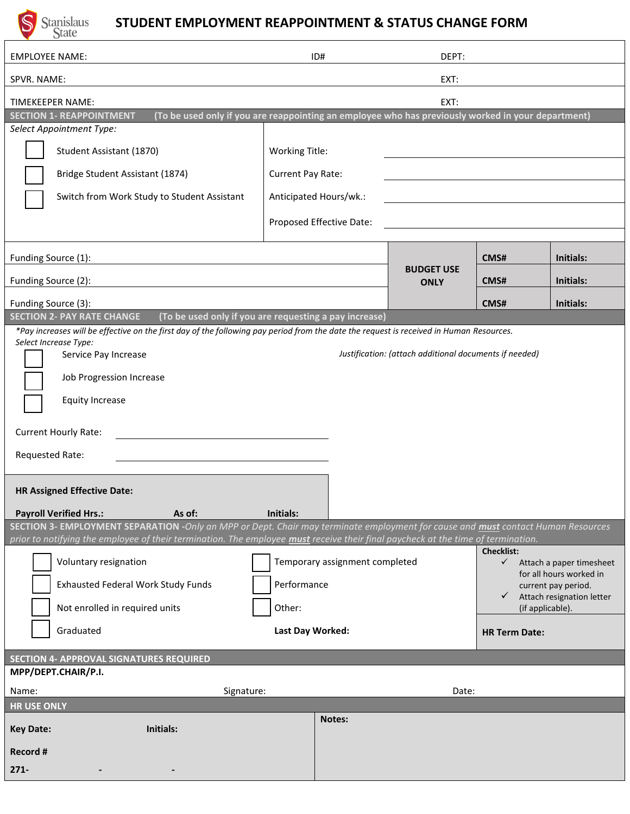

## **STUDENT EMPLOYMENT REAPPOINTMENT & STATUS CHANGE FORM**

| <b>EMPLOYEE NAME:</b>                                                                                                                                                                                                                                                | ID#                                                                                             |                          | DEPT:                            |                                               |                                                |
|----------------------------------------------------------------------------------------------------------------------------------------------------------------------------------------------------------------------------------------------------------------------|-------------------------------------------------------------------------------------------------|--------------------------|----------------------------------|-----------------------------------------------|------------------------------------------------|
| SPVR. NAME:                                                                                                                                                                                                                                                          |                                                                                                 |                          | EXT:                             |                                               |                                                |
| TIMEKEEPER NAME:                                                                                                                                                                                                                                                     | EXT:                                                                                            |                          |                                  |                                               |                                                |
| (To be used only if you are reappointing an employee who has previously worked in your department)<br><b>SECTION 1- REAPPOINTMENT</b>                                                                                                                                |                                                                                                 |                          |                                  |                                               |                                                |
| Select Appointment Type:                                                                                                                                                                                                                                             |                                                                                                 |                          |                                  |                                               |                                                |
| Student Assistant (1870)                                                                                                                                                                                                                                             | <b>Working Title:</b>                                                                           |                          |                                  |                                               |                                                |
| Bridge Student Assistant (1874)                                                                                                                                                                                                                                      | Current Pay Rate:                                                                               |                          |                                  |                                               |                                                |
| Switch from Work Study to Student Assistant                                                                                                                                                                                                                          |                                                                                                 | Anticipated Hours/wk.:   |                                  |                                               |                                                |
|                                                                                                                                                                                                                                                                      |                                                                                                 | Proposed Effective Date: |                                  |                                               |                                                |
|                                                                                                                                                                                                                                                                      |                                                                                                 |                          |                                  |                                               |                                                |
| Funding Source (1):                                                                                                                                                                                                                                                  |                                                                                                 |                          | <b>BUDGET USE</b><br><b>ONLY</b> | CMS#                                          | Initials:                                      |
| Funding Source (2):                                                                                                                                                                                                                                                  |                                                                                                 |                          |                                  | CMS#                                          | Initials:                                      |
| Funding Source (3):                                                                                                                                                                                                                                                  |                                                                                                 |                          |                                  | CMS#                                          | Initials:                                      |
| <b>SECTION 2- PAY RATE CHANGE</b><br>(To be used only if you are requesting a pay increase)                                                                                                                                                                          |                                                                                                 |                          |                                  |                                               |                                                |
| *Pay increases will be effective on the first day of the following pay period from the date the request is received in Human Resources.<br>Select Increase Type:                                                                                                     |                                                                                                 |                          |                                  |                                               |                                                |
| Justification: (attach additional documents if needed)<br>Service Pay Increase                                                                                                                                                                                       |                                                                                                 |                          |                                  |                                               |                                                |
| Job Progression Increase                                                                                                                                                                                                                                             |                                                                                                 |                          |                                  |                                               |                                                |
| <b>Equity Increase</b>                                                                                                                                                                                                                                               |                                                                                                 |                          |                                  |                                               |                                                |
| <b>Current Hourly Rate:</b>                                                                                                                                                                                                                                          |                                                                                                 |                          |                                  |                                               |                                                |
| Requested Rate:                                                                                                                                                                                                                                                      |                                                                                                 |                          |                                  |                                               |                                                |
|                                                                                                                                                                                                                                                                      |                                                                                                 |                          |                                  |                                               |                                                |
| <b>HR Assigned Effective Date:</b>                                                                                                                                                                                                                                   |                                                                                                 |                          |                                  |                                               |                                                |
| <b>Payroll Verified Hrs.:</b><br>Initials:<br>As of:                                                                                                                                                                                                                 |                                                                                                 |                          |                                  |                                               |                                                |
| SECTION 3- EMPLOYMENT SEPARATION -Only an MPP or Dept. Chair may terminate employment for cause and must contact Human Resources<br>prior to notifying the employee of their termination. The employee must receive their final paycheck at the time of termination. |                                                                                                 |                          |                                  |                                               |                                                |
| Voluntary resignation                                                                                                                                                                                                                                                | <b>Checklist:</b><br>Temporary assignment completed<br>$\checkmark$<br>Attach a paper timesheet |                          |                                  |                                               |                                                |
| <b>Exhausted Federal Work Study Funds</b>                                                                                                                                                                                                                            | Performance                                                                                     |                          |                                  |                                               | for all hours worked in<br>current pay period. |
| Not enrolled in required units                                                                                                                                                                                                                                       | Other:                                                                                          |                          |                                  | Attach resignation letter<br>(if applicable). |                                                |
| Graduated                                                                                                                                                                                                                                                            |                                                                                                 |                          |                                  | <b>HR Term Date:</b>                          |                                                |
| Last Day Worked:                                                                                                                                                                                                                                                     |                                                                                                 |                          |                                  |                                               |                                                |
| <b>SECTION 4- APPROVAL SIGNATURES REQUIRED</b>                                                                                                                                                                                                                       |                                                                                                 |                          |                                  |                                               |                                                |
| MPP/DEPT.CHAIR/P.I.                                                                                                                                                                                                                                                  |                                                                                                 |                          |                                  |                                               |                                                |
| Signature:<br>Name:                                                                                                                                                                                                                                                  |                                                                                                 |                          | Date:                            |                                               |                                                |
| <b>HR USE ONLY</b>                                                                                                                                                                                                                                                   |                                                                                                 | Notes:                   |                                  |                                               |                                                |
| Initials:<br><b>Key Date:</b>                                                                                                                                                                                                                                        |                                                                                                 |                          |                                  |                                               |                                                |
| Record #                                                                                                                                                                                                                                                             |                                                                                                 |                          |                                  |                                               |                                                |
| $271-$                                                                                                                                                                                                                                                               |                                                                                                 |                          |                                  |                                               |                                                |